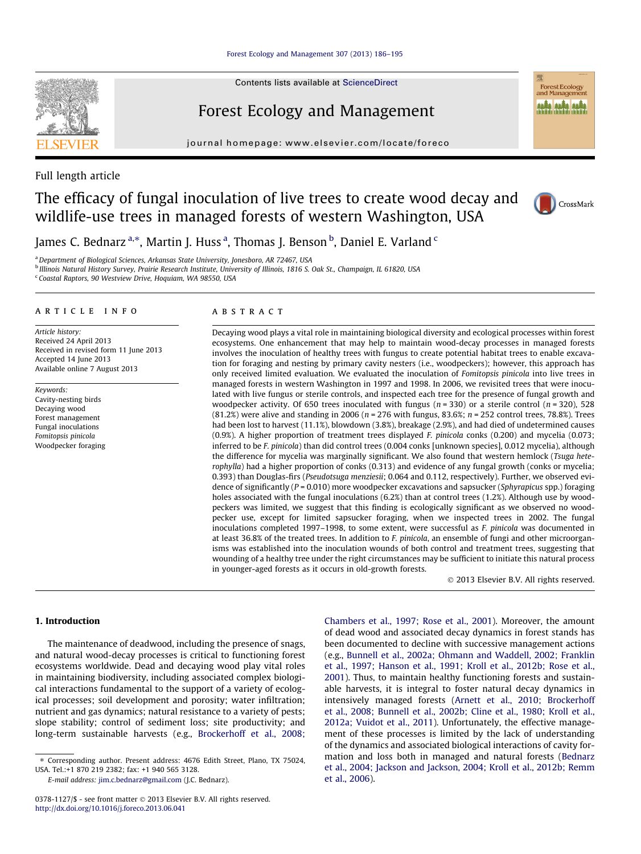Contents lists available at [ScienceDirect](http://www.sciencedirect.com/science/journal/03781127)

## Forest Ecology and Management

journal homepage: [www.elsevier.com/locate/foreco](http://www.elsevier.com/locate/foreco)



# The efficacy of fungal inoculation of live trees to create wood decay and wildlife-use trees in managed forests of western Washington, USA



Forest Ecology<br>and Management **Alaka alaka alaka** 

James C. Bednarz <sup>a,</sup>\*, Martin J. Huss <sup>a</sup>, Thomas J. Benson <sup>b</sup>, Daniel E. Varland <sup>c</sup>

<sup>a</sup> Department of Biological Sciences, Arkansas State University, Jonesboro, AR 72467, USA

<sup>b</sup> Illinois Natural History Survey, Prairie Research Institute, University of Illinois, 1816 S. Oak St., Champaign, IL 61820, USA

<sup>c</sup> Coastal Raptors, 90 Westview Drive, Hoquiam, WA 98550, USA

## article info

Article history: Received 24 April 2013 Received in revised form 11 June 2013 Accepted 14 June 2013 Available online 7 August 2013

Keywords: Cavity-nesting birds Decaying wood Forest management Fungal inoculations Fomitopsis pinicola Woodpecker foraging

## **ABSTRACT**

Decaying wood plays a vital role in maintaining biological diversity and ecological processes within forest ecosystems. One enhancement that may help to maintain wood-decay processes in managed forests involves the inoculation of healthy trees with fungus to create potential habitat trees to enable excavation for foraging and nesting by primary cavity nesters (i.e., woodpeckers); however, this approach has only received limited evaluation. We evaluated the inoculation of Fomitopsis pinicola into live trees in managed forests in western Washington in 1997 and 1998. In 2006, we revisited trees that were inoculated with live fungus or sterile controls, and inspected each tree for the presence of fungal growth and woodpecker activity. Of 650 trees inoculated with fungus ( $n = 330$ ) or a sterile control ( $n = 320$ ), 528  $(81.2%)$  were alive and standing in 2006 ( $n = 276$  with fungus, 83.6%;  $n = 252$  control trees, 78.8%). Trees had been lost to harvest (11.1%), blowdown (3.8%), breakage (2.9%), and had died of undetermined causes (0.9%). A higher proportion of treatment trees displayed F. pinicola conks (0.200) and mycelia (0.073; inferred to be F. pinicola) than did control trees (0.004 conks [unknown species], 0.012 mycelia), although the difference for mycelia was marginally significant. We also found that western hemlock (Tsuga heterophylla) had a higher proportion of conks (0.313) and evidence of any fungal growth (conks or mycelia; 0.393) than Douglas-firs (Pseudotsuga menziesii; 0.064 and 0.112, respectively). Further, we observed evidence of significantly ( $P = 0.010$ ) more woodpecker excavations and sapsucker (*Sphyrapicus spp.*) foraging holes associated with the fungal inoculations (6.2%) than at control trees (1.2%). Although use by woodpeckers was limited, we suggest that this finding is ecologically significant as we observed no woodpecker use, except for limited sapsucker foraging, when we inspected trees in 2002. The fungal inoculations completed 1997–1998, to some extent, were successful as F. pinicola was documented in at least 36.8% of the treated trees. In addition to F. pinicola, an ensemble of fungi and other microorganisms was established into the inoculation wounds of both control and treatment trees, suggesting that wounding of a healthy tree under the right circumstances may be sufficient to initiate this natural process in younger-aged forests as it occurs in old-growth forests.

- 2013 Elsevier B.V. All rights reserved.

## 1. Introduction

The maintenance of deadwood, including the presence of snags, and natural wood-decay processes is critical to functioning forest ecosystems worldwide. Dead and decaying wood play vital roles in maintaining biodiversity, including associated complex biological interactions fundamental to the support of a variety of ecological processes; soil development and porosity; water infiltration; nutrient and gas dynamics; natural resistance to a variety of pests; slope stability; control of sediment loss; site productivity; and long-term sustainable harvests (e.g., [Brockerhoff et al., 2008;](#page-9-0)

E-mail address: [jim.c.bednarz@gmail.com](mailto:jim.c.bednarz@gmail.com) (J.C. Bednarz).

[Chambers et al., 1997; Rose et al., 2001\)](#page-9-0). Moreover, the amount of dead wood and associated decay dynamics in forest stands has been documented to decline with successive management actions (e.g., [Bunnell et al., 2002a; Ohmann and Waddell, 2002; Franklin](#page-9-0) [et al., 1997; Hanson et al., 1991; Kroll et al., 2012b; Rose et al.,](#page-9-0) [2001\)](#page-9-0). Thus, to maintain healthy functioning forests and sustainable harvests, it is integral to foster natural decay dynamics in intensively managed forests ([Arnett et al., 2010; Brockerhoff](#page-9-0) [et al., 2008; Bunnell et al., 2002b; Cline et al., 1980; Kroll et al.,](#page-9-0) [2012a; Vuidot et al., 2011\)](#page-9-0). Unfortunately, the effective management of these processes is limited by the lack of understanding of the dynamics and associated biological interactions of cavity formation and loss both in managed and natural forests [\(Bednarz](#page-9-0) [et al., 2004; Jackson and Jackson, 2004; Kroll et al., 2012b; Remm](#page-9-0) [et al., 2006\)](#page-9-0).



<sup>⇑</sup> Corresponding author. Present address: 4676 Edith Street, Plano, TX 75024, USA. Tel.:+1 870 219 2382; fax: +1 940 565 3128.

<sup>0378-1127/\$ -</sup> see front matter © 2013 Elsevier B.V. All rights reserved. <http://dx.doi.org/10.1016/j.foreco.2013.06.041>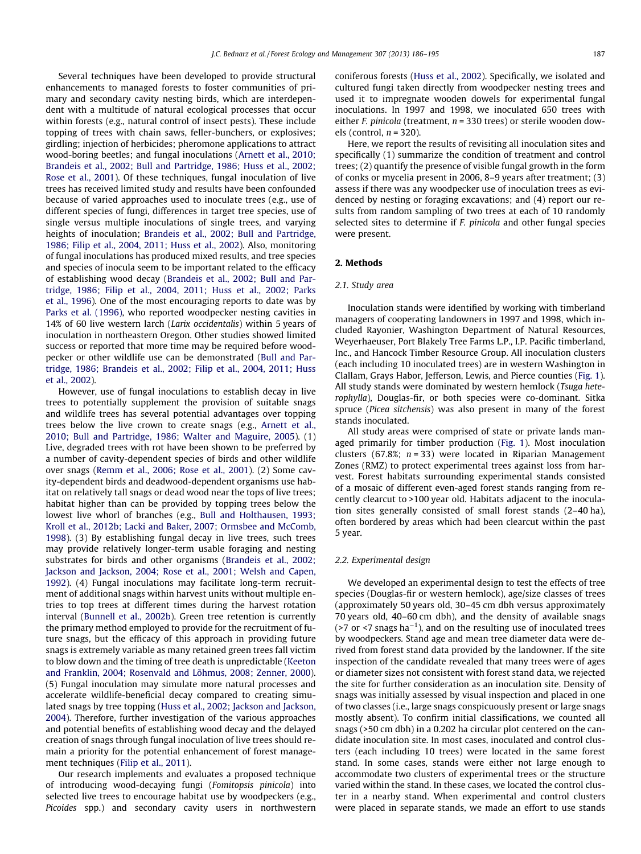Several techniques have been developed to provide structural enhancements to managed forests to foster communities of primary and secondary cavity nesting birds, which are interdependent with a multitude of natural ecological processes that occur within forests (e.g., natural control of insect pests). These include topping of trees with chain saws, feller-bunchers, or explosives; girdling; injection of herbicides; pheromone applications to attract wood-boring beetles; and fungal inoculations ([Arnett et al., 2010;](#page-9-0) [Brandeis et al., 2002; Bull and Partridge, 1986; Huss et al., 2002;](#page-9-0) [Rose et al., 2001\)](#page-9-0). Of these techniques, fungal inoculation of live trees has received limited study and results have been confounded because of varied approaches used to inoculate trees (e.g., use of different species of fungi, differences in target tree species, use of single versus multiple inoculations of single trees, and varying heights of inoculation; [Brandeis et al., 2002; Bull and Partridge,](#page-9-0) [1986; Filip et al., 2004, 2011; Huss et al., 2002\)](#page-9-0). Also, monitoring of fungal inoculations has produced mixed results, and tree species and species of inocula seem to be important related to the efficacy of establishing wood decay [\(Brandeis et al., 2002; Bull and Par](#page-9-0)[tridge, 1986; Filip et al., 2004, 2011; Huss et al., 2002; Parks](#page-9-0) [et al., 1996](#page-9-0)). One of the most encouraging reports to date was by [Parks et al. \(1996\),](#page-9-0) who reported woodpecker nesting cavities in 14% of 60 live western larch (Larix occidentalis) within 5 years of inoculation in northeastern Oregon. Other studies showed limited success or reported that more time may be required before woodpecker or other wildlife use can be demonstrated [\(Bull and Par](#page-9-0)[tridge, 1986; Brandeis et al., 2002; Filip et al., 2004, 2011; Huss](#page-9-0) [et al., 2002\)](#page-9-0).

However, use of fungal inoculations to establish decay in live trees to potentially supplement the provision of suitable snags and wildlife trees has several potential advantages over topping trees below the live crown to create snags (e.g., [Arnett et al.,](#page-9-0) [2010; Bull and Partridge, 1986; Walter and Maguire, 2005\)](#page-9-0). (1) Live, degraded trees with rot have been shown to be preferred by a number of cavity-dependent species of birds and other wildlife over snags ([Remm et al., 2006; Rose et al., 2001](#page-9-0)). (2) Some cavity-dependent birds and deadwood-dependent organisms use habitat on relatively tall snags or dead wood near the tops of live trees; habitat higher than can be provided by topping trees below the lowest live whorl of branches (e.g., [Bull and Holthausen, 1993;](#page-9-0) [Kroll et al., 2012b; Lacki and Baker, 2007; Ormsbee and McComb,](#page-9-0) [1998\)](#page-9-0). (3) By establishing fungal decay in live trees, such trees may provide relatively longer-term usable foraging and nesting substrates for birds and other organisms ([Brandeis et al., 2002;](#page-9-0) [Jackson and Jackson, 2004; Rose et al., 2001; Welsh and Capen,](#page-9-0) [1992\)](#page-9-0). (4) Fungal inoculations may facilitate long-term recruitment of additional snags within harvest units without multiple entries to top trees at different times during the harvest rotation interval [\(Bunnell et al., 2002b\)](#page-9-0). Green tree retention is currently the primary method employed to provide for the recruitment of future snags, but the efficacy of this approach in providing future snags is extremely variable as many retained green trees fall victim to blow down and the timing of tree death is unpredictable [\(Keeton](#page-9-0) [and Franklin, 2004; Rosenvald and Lõhmus, 2008; Zenner, 2000\)](#page-9-0). (5) Fungal inoculation may simulate more natural processes and accelerate wildlife-beneficial decay compared to creating simulated snags by tree topping ([Huss et al., 2002; Jackson and Jackson,](#page-9-0) [2004](#page-9-0)). Therefore, further investigation of the various approaches and potential benefits of establishing wood decay and the delayed creation of snags through fungal inoculation of live trees should remain a priority for the potential enhancement of forest management techniques ([Filip et al., 2011](#page-9-0)).

Our research implements and evaluates a proposed technique of introducing wood-decaying fungi (Fomitopsis pinicola) into selected live trees to encourage habitat use by woodpeckers (e.g., Picoides spp.) and secondary cavity users in northwestern coniferous forests ([Huss et al., 2002\)](#page-9-0). Specifically, we isolated and cultured fungi taken directly from woodpecker nesting trees and used it to impregnate wooden dowels for experimental fungal inoculations. In 1997 and 1998, we inoculated 650 trees with either F. pinicola (treatment,  $n = 330$  trees) or sterile wooden dowels (control,  $n = 320$ ).

Here, we report the results of revisiting all inoculation sites and specifically (1) summarize the condition of treatment and control trees; (2) quantify the presence of visible fungal growth in the form of conks or mycelia present in 2006, 8–9 years after treatment; (3) assess if there was any woodpecker use of inoculation trees as evidenced by nesting or foraging excavations; and (4) report our results from random sampling of two trees at each of 10 randomly selected sites to determine if F. pinicola and other fungal species were present.

## 2. Methods

## 2.1. Study area

Inoculation stands were identified by working with timberland managers of cooperating landowners in 1997 and 1998, which included Rayonier, Washington Department of Natural Resources, Weyerhaeuser, Port Blakely Tree Farms L.P., I.P. Pacific timberland, Inc., and Hancock Timber Resource Group. All inoculation clusters (each including 10 inoculated trees) are in western Washington in Clallam, Grays Habor, Jefferson, Lewis, and Pierce counties [\(Fig. 1\)](#page-2-0). All study stands were dominated by western hemlock (Tsuga heterophylla), Douglas-fir, or both species were co-dominant. Sitka spruce (Picea sitchensis) was also present in many of the forest stands inoculated.

All study areas were comprised of state or private lands managed primarily for timber production ([Fig. 1\)](#page-2-0). Most inoculation clusters (67.8%;  $n = 33$ ) were located in Riparian Management Zones (RMZ) to protect experimental trees against loss from harvest. Forest habitats surrounding experimental stands consisted of a mosaic of different even-aged forest stands ranging from recently clearcut to >100 year old. Habitats adjacent to the inoculation sites generally consisted of small forest stands (2–40 ha), often bordered by areas which had been clearcut within the past 5 year.

## 2.2. Experimental design

We developed an experimental design to test the effects of tree species (Douglas-fir or western hemlock), age/size classes of trees (approximately 50 years old, 30–45 cm dbh versus approximately 70 years old, 40–60 cm dbh), and the density of available snags (>7 or <7 snags ha<sup>-1</sup>), and on the resulting use of inoculated trees by woodpeckers. Stand age and mean tree diameter data were derived from forest stand data provided by the landowner. If the site inspection of the candidate revealed that many trees were of ages or diameter sizes not consistent with forest stand data, we rejected the site for further consideration as an inoculation site. Density of snags was initially assessed by visual inspection and placed in one of two classes (i.e., large snags conspicuously present or large snags mostly absent). To confirm initial classifications, we counted all snags (>50 cm dbh) in a 0.202 ha circular plot centered on the candidate inoculation site. In most cases, inoculated and control clusters (each including 10 trees) were located in the same forest stand. In some cases, stands were either not large enough to accommodate two clusters of experimental trees or the structure varied within the stand. In these cases, we located the control cluster in a nearby stand. When experimental and control clusters were placed in separate stands, we made an effort to use stands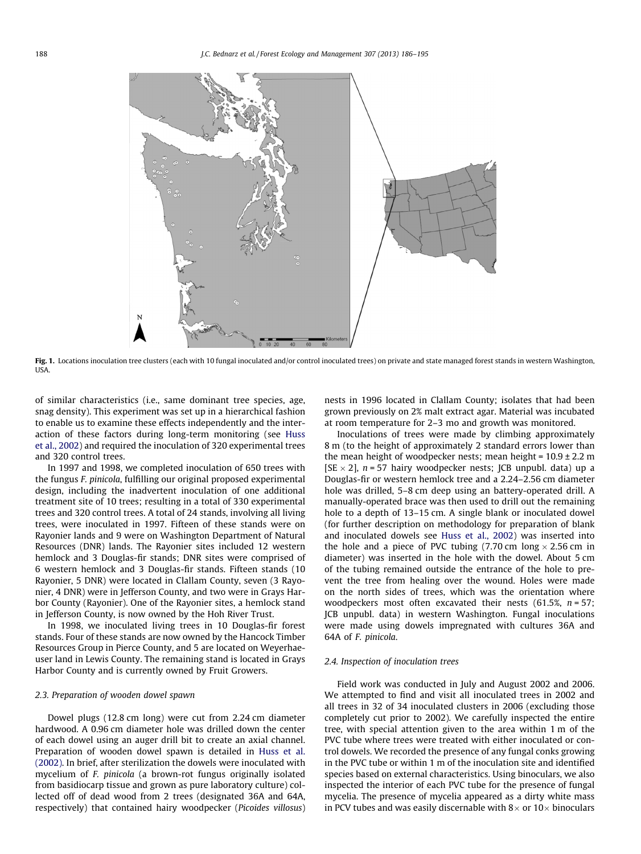<span id="page-2-0"></span>

Fig. 1. Locations inoculation tree clusters (each with 10 fungal inoculated and/or control inoculated trees) on private and state managed forest stands in western Washington, USA.

of similar characteristics (i.e., same dominant tree species, age, snag density). This experiment was set up in a hierarchical fashion to enable us to examine these effects independently and the interaction of these factors during long-term monitoring (see [Huss](#page-9-0) [et al., 2002](#page-9-0)) and required the inoculation of 320 experimental trees and 320 control trees.

In 1997 and 1998, we completed inoculation of 650 trees with the fungus F. pinicola, fulfilling our original proposed experimental design, including the inadvertent inoculation of one additional treatment site of 10 trees; resulting in a total of 330 experimental trees and 320 control trees. A total of 24 stands, involving all living trees, were inoculated in 1997. Fifteen of these stands were on Rayonier lands and 9 were on Washington Department of Natural Resources (DNR) lands. The Rayonier sites included 12 western hemlock and 3 Douglas-fir stands; DNR sites were comprised of 6 western hemlock and 3 Douglas-fir stands. Fifteen stands (10 Rayonier, 5 DNR) were located in Clallam County, seven (3 Rayonier, 4 DNR) were in Jefferson County, and two were in Grays Harbor County (Rayonier). One of the Rayonier sites, a hemlock stand in Jefferson County, is now owned by the Hoh River Trust.

In 1998, we inoculated living trees in 10 Douglas-fir forest stands. Four of these stands are now owned by the Hancock Timber Resources Group in Pierce County, and 5 are located on Weyerhaeuser land in Lewis County. The remaining stand is located in Grays Harbor County and is currently owned by Fruit Growers.

## 2.3. Preparation of wooden dowel spawn

Dowel plugs (12.8 cm long) were cut from 2.24 cm diameter hardwood. A 0.96 cm diameter hole was drilled down the center of each dowel using an auger drill bit to create an axial channel. Preparation of wooden dowel spawn is detailed in [Huss et al.](#page-9-0) [\(2002\).](#page-9-0) In brief, after sterilization the dowels were inoculated with mycelium of F. pinicola (a brown-rot fungus originally isolated from basidiocarp tissue and grown as pure laboratory culture) collected off of dead wood from 2 trees (designated 36A and 64A, respectively) that contained hairy woodpecker (Picoides villosus) nests in 1996 located in Clallam County; isolates that had been grown previously on 2% malt extract agar. Material was incubated at room temperature for 2–3 mo and growth was monitored.

Inoculations of trees were made by climbing approximately 8 m (to the height of approximately 2 standard errors lower than the mean height of woodpecker nests; mean height =  $10.9 \pm 2.2$  m [SE  $\times$  2], n = 57 hairy woodpecker nests; JCB unpubl. data) up a Douglas-fir or western hemlock tree and a 2.24–2.56 cm diameter hole was drilled, 5–8 cm deep using an battery-operated drill. A manually-operated brace was then used to drill out the remaining hole to a depth of 13–15 cm. A single blank or inoculated dowel (for further description on methodology for preparation of blank and inoculated dowels see [Huss et al., 2002](#page-9-0)) was inserted into the hole and a piece of PVC tubing (7.70 cm long  $\times$  2.56 cm in diameter) was inserted in the hole with the dowel. About 5 cm of the tubing remained outside the entrance of the hole to prevent the tree from healing over the wound. Holes were made on the north sides of trees, which was the orientation where woodpeckers most often excavated their nests  $(61.5\%, n = 57)$ ; JCB unpubl. data) in western Washington. Fungal inoculations were made using dowels impregnated with cultures 36A and 64A of F. pinicola.

## 2.4. Inspection of inoculation trees

Field work was conducted in July and August 2002 and 2006. We attempted to find and visit all inoculated trees in 2002 and all trees in 32 of 34 inoculated clusters in 2006 (excluding those completely cut prior to 2002). We carefully inspected the entire tree, with special attention given to the area within 1 m of the PVC tube where trees were treated with either inoculated or control dowels. We recorded the presence of any fungal conks growing in the PVC tube or within 1 m of the inoculation site and identified species based on external characteristics. Using binoculars, we also inspected the interior of each PVC tube for the presence of fungal mycelia. The presence of mycelia appeared as a dirty white mass in PCV tubes and was easily discernable with  $8 \times$  or  $10 \times$  binoculars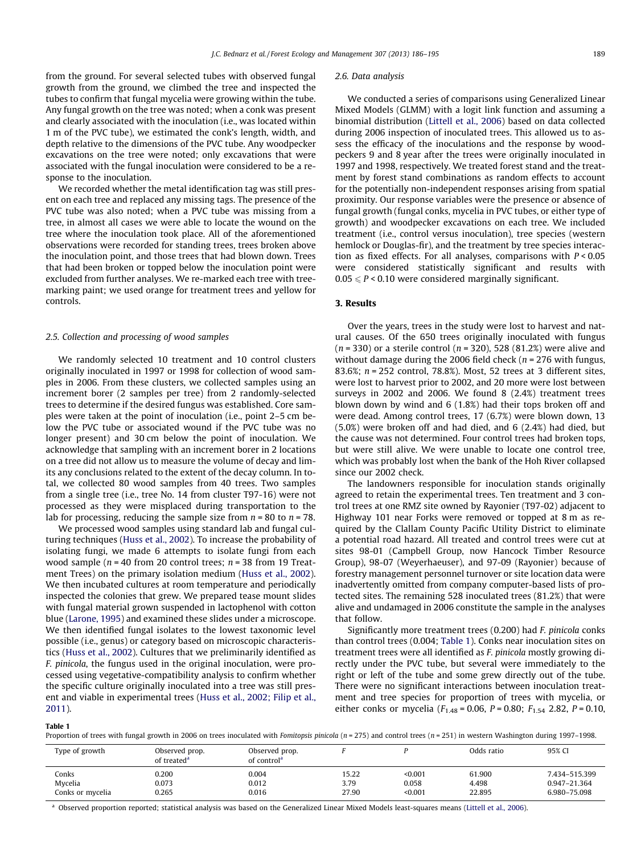<span id="page-3-0"></span>from the ground. For several selected tubes with observed fungal growth from the ground, we climbed the tree and inspected the tubes to confirm that fungal mycelia were growing within the tube. Any fungal growth on the tree was noted; when a conk was present and clearly associated with the inoculation (i.e., was located within 1 m of the PVC tube), we estimated the conk's length, width, and depth relative to the dimensions of the PVC tube. Any woodpecker excavations on the tree were noted; only excavations that were associated with the fungal inoculation were considered to be a response to the inoculation.

We recorded whether the metal identification tag was still present on each tree and replaced any missing tags. The presence of the PVC tube was also noted; when a PVC tube was missing from a tree, in almost all cases we were able to locate the wound on the tree where the inoculation took place. All of the aforementioned observations were recorded for standing trees, trees broken above the inoculation point, and those trees that had blown down. Trees that had been broken or topped below the inoculation point were excluded from further analyses. We re-marked each tree with treemarking paint; we used orange for treatment trees and yellow for controls.

## 2.5. Collection and processing of wood samples

We randomly selected 10 treatment and 10 control clusters originally inoculated in 1997 or 1998 for collection of wood samples in 2006. From these clusters, we collected samples using an increment borer (2 samples per tree) from 2 randomly-selected trees to determine if the desired fungus was established. Core samples were taken at the point of inoculation (i.e., point 2–5 cm below the PVC tube or associated wound if the PVC tube was no longer present) and 30 cm below the point of inoculation. We acknowledge that sampling with an increment borer in 2 locations on a tree did not allow us to measure the volume of decay and limits any conclusions related to the extent of the decay column. In total, we collected 80 wood samples from 40 trees. Two samples from a single tree (i.e., tree No. 14 from cluster T97-16) were not processed as they were misplaced during transportation to the lab for processing, reducing the sample size from  $n = 80$  to  $n = 78$ .

We processed wood samples using standard lab and fungal culturing techniques [\(Huss et al., 2002](#page-9-0)). To increase the probability of isolating fungi, we made 6 attempts to isolate fungi from each wood sample ( $n = 40$  from 20 control trees;  $n = 38$  from 19 Treatment Trees) on the primary isolation medium ([Huss et al., 2002\)](#page-9-0). We then incubated cultures at room temperature and periodically inspected the colonies that grew. We prepared tease mount slides with fungal material grown suspended in lactophenol with cotton blue [\(Larone, 1995](#page-9-0)) and examined these slides under a microscope. We then identified fungal isolates to the lowest taxonomic level possible (i.e., genus) or category based on microscopic characteristics [\(Huss et al., 2002](#page-9-0)). Cultures that we preliminarily identified as F. pinicola, the fungus used in the original inoculation, were processed using vegetative-compatibility analysis to confirm whether the specific culture originally inoculated into a tree was still present and viable in experimental trees ([Huss et al., 2002; Filip et al.,](#page-9-0) [2011\)](#page-9-0).

#### 2.6. Data analysis

We conducted a series of comparisons using Generalized Linear Mixed Models (GLMM) with a logit link function and assuming a binomial distribution ([Littell et al., 2006](#page-9-0)) based on data collected during 2006 inspection of inoculated trees. This allowed us to assess the efficacy of the inoculations and the response by woodpeckers 9 and 8 year after the trees were originally inoculated in 1997 and 1998, respectively. We treated forest stand and the treatment by forest stand combinations as random effects to account for the potentially non-independent responses arising from spatial proximity. Our response variables were the presence or absence of fungal growth (fungal conks, mycelia in PVC tubes, or either type of growth) and woodpecker excavations on each tree. We included treatment (i.e., control versus inoculation), tree species (western hemlock or Douglas-fir), and the treatment by tree species interaction as fixed effects. For all analyses, comparisons with  $P < 0.05$ were considered statistically significant and results with  $0.05 \leq P \leq 0.10$  were considered marginally significant.

## 3. Results

Over the years, trees in the study were lost to harvest and natural causes. Of the 650 trees originally inoculated with fungus ( $n = 330$ ) or a sterile control ( $n = 320$ ), 528 (81.2%) were alive and without damage during the 2006 field check ( $n = 276$  with fungus, 83.6%; n = 252 control, 78.8%). Most, 52 trees at 3 different sites, were lost to harvest prior to 2002, and 20 more were lost between surveys in 2002 and 2006. We found 8 (2.4%) treatment trees blown down by wind and 6 (1.8%) had their tops broken off and were dead. Among control trees, 17 (6.7%) were blown down, 13 (5.0%) were broken off and had died, and 6 (2.4%) had died, but the cause was not determined. Four control trees had broken tops, but were still alive. We were unable to locate one control tree, which was probably lost when the bank of the Hoh River collapsed since our 2002 check.

The landowners responsible for inoculation stands originally agreed to retain the experimental trees. Ten treatment and 3 control trees at one RMZ site owned by Rayonier (T97-02) adjacent to Highway 101 near Forks were removed or topped at 8 m as required by the Clallam County Pacific Utility District to eliminate a potential road hazard. All treated and control trees were cut at sites 98-01 (Campbell Group, now Hancock Timber Resource Group), 98-07 (Weyerhaeuser), and 97-09 (Rayonier) because of forestry management personnel turnover or site location data were inadvertently omitted from company computer-based lists of protected sites. The remaining 528 inoculated trees (81.2%) that were alive and undamaged in 2006 constitute the sample in the analyses that follow.

Significantly more treatment trees (0.200) had F. pinicola conks than control trees (0.004; Table 1). Conks near inoculation sites on treatment trees were all identified as F. pinicola mostly growing directly under the PVC tube, but several were immediately to the right or left of the tube and some grew directly out of the tube. There were no significant interactions between inoculation treatment and tree species for proportion of trees with mycelia, or either conks or mycelia ( $F_{1.48}$  = 0.06,  $P$  = 0.80;  $F_{1.54}$  2.82,  $P$  = 0.10,

#### Table 1

Proportion of trees with fungal growth in 2006 on trees inoculated with Fomitopsis pinicola (n = 275) and control trees (n = 251) in western Washington during 1997-1998.

| Type of growth   | Observed prop.<br>of treated <sup>a</sup> | Observed prop.<br>of control <sup>a</sup> |       |         | Odds ratio | 95% CI        |
|------------------|-------------------------------------------|-------------------------------------------|-------|---------|------------|---------------|
| Conks            | 0.200                                     | 0.004                                     | 15.22 | < 0.001 | 61.900     | 7.434-515.399 |
| Mycelia          | 0.073                                     | 0.012                                     | 3.79  | 0.058   | 4.498      | 0.947-21.364  |
| Conks or mycelia | 0.265                                     | 0.016                                     | 27.90 | < 0.001 | 22.895     | 6.980-75.098  |

<sup>a</sup> Observed proportion reported; statistical analysis was based on the Generalized Linear Mixed Models least-squares means ([Littell et al., 2006\)](#page-9-0).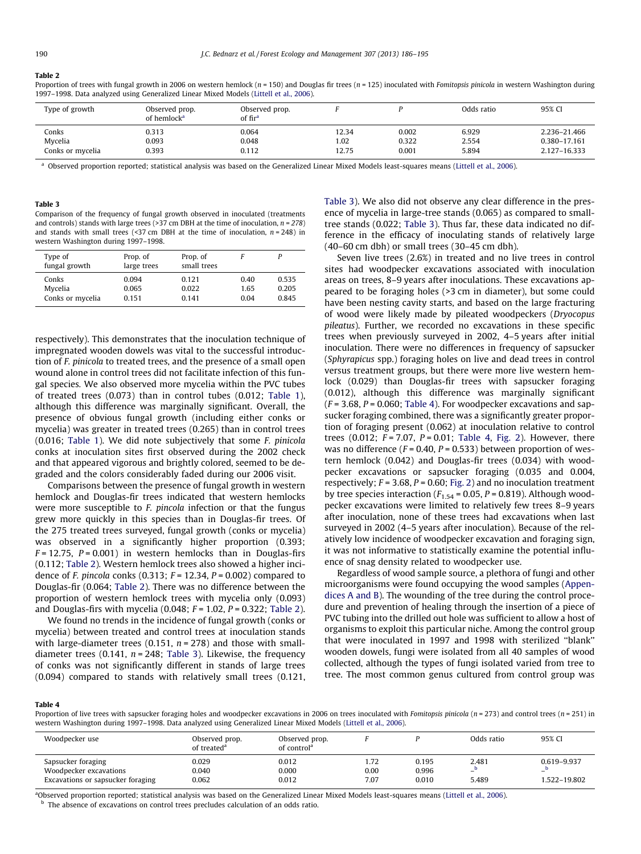#### <span id="page-4-0"></span>Table 2

Proportion of trees with fungal growth in 2006 on western hemlock ( $n = 150$ ) and Douglas fir trees ( $n = 125$ ) inoculated with Fomitopsis pinicola in western Washington during 1997–1998. Data analyzed using Generalized Linear Mixed Models [\(Littell et al., 2006](#page-9-0)).

| Type of growth   | Observed prop.<br>of hemlock <sup>a</sup> | Observed prop.<br>of fir <sup>a</sup> |       |       | Odds ratio | 95% CI       |
|------------------|-------------------------------------------|---------------------------------------|-------|-------|------------|--------------|
| Conks            | 0.313                                     | 0.064                                 | 12.34 | 0.002 | 6.929      | 2.236-21.466 |
| Mycelia          | 0.093                                     | 0.048                                 | .02   | 0.322 | 2.554      | 0.380-17.161 |
| Conks or mycelia | 0.393                                     | 0.112                                 | 12.75 | 0.001 | 5.894      | 2.127-16.333 |

<sup>a</sup> Observed proportion reported; statistical analysis was based on the Generalized Linear Mixed Models least-squares means ([Littell et al., 2006](#page-9-0)).

#### Table 3

Comparison of the frequency of fungal growth observed in inoculated (treatments and controls) stands with large trees (>37 cm DBH at the time of inoculation,  $n = 278$ ) and stands with small trees (<37 cm DBH at the time of inoculation,  $n = 248$ ) in western Washington during 1997–1998.

| Type of<br>fungal growth | Prop. of<br>large trees | Prop. of<br>small trees |      |       |
|--------------------------|-------------------------|-------------------------|------|-------|
| Conks                    | 0.094                   | 0.121                   | 0.40 | 0.535 |
| Mycelia                  | 0.065                   | 0.022                   | 1.65 | 0.205 |
| Conks or mycelia         | 0.151                   | 0.141                   | 0.04 | 0.845 |

respectively). This demonstrates that the inoculation technique of impregnated wooden dowels was vital to the successful introduction of F. pinicola to treated trees, and the presence of a small open wound alone in control trees did not facilitate infection of this fungal species. We also observed more mycelia within the PVC tubes of treated trees (0.073) than in control tubes (0.012; [Table 1\)](#page-3-0), although this difference was marginally significant. Overall, the presence of obvious fungal growth (including either conks or mycelia) was greater in treated trees (0.265) than in control trees (0.016; [Table 1](#page-3-0)). We did note subjectively that some F. pinicola conks at inoculation sites first observed during the 2002 check and that appeared vigorous and brightly colored, seemed to be degraded and the colors considerably faded during our 2006 visit.

Comparisons between the presence of fungal growth in western hemlock and Douglas-fir trees indicated that western hemlocks were more susceptible to *F. pincola* infection or that the fungus grew more quickly in this species than in Douglas-fir trees. Of the 275 treated trees surveyed, fungal growth (conks or mycelia) was observed in a significantly higher proportion (0.393;  $F = 12.75$ ,  $P = 0.001$ ) in western hemlocks than in Douglas-firs (0.112; Table 2). Western hemlock trees also showed a higher incidence of F. pincola conks (0.313;  $F = 12.34$ ,  $P = 0.002$ ) compared to Douglas-fir (0.064; Table 2). There was no difference between the proportion of western hemlock trees with mycelia only (0.093) and Douglas-firs with mycelia (0.048;  $F = 1.02$ ,  $P = 0.322$ ; Table 2).

We found no trends in the incidence of fungal growth (conks or mycelia) between treated and control trees at inoculation stands with large-diameter trees (0.151,  $n = 278$ ) and those with smalldiameter trees (0.141,  $n = 248$ ; Table 3). Likewise, the frequency of conks was not significantly different in stands of large trees (0.094) compared to stands with relatively small trees (0.121, Table 3). We also did not observe any clear difference in the presence of mycelia in large-tree stands (0.065) as compared to smalltree stands (0.022; Table 3). Thus far, these data indicated no difference in the efficacy of inoculating stands of relatively large (40–60 cm dbh) or small trees (30–45 cm dbh).

Seven live trees (2.6%) in treated and no live trees in control sites had woodpecker excavations associated with inoculation areas on trees, 8–9 years after inoculations. These excavations appeared to be foraging holes (>3 cm in diameter), but some could have been nesting cavity starts, and based on the large fracturing of wood were likely made by pileated woodpeckers (Dryocopus pileatus). Further, we recorded no excavations in these specific trees when previously surveyed in 2002, 4–5 years after initial inoculation. There were no differences in frequency of sapsucker (Sphyrapicus spp.) foraging holes on live and dead trees in control versus treatment groups, but there were more live western hemlock (0.029) than Douglas-fir trees with sapsucker foraging (0.012), although this difference was marginally significant  $(F = 3.68, P = 0.060;$  Table 4). For woodpecker excavations and sapsucker foraging combined, there was a significantly greater proportion of foraging present (0.062) at inoculation relative to control trees  $(0.012; F = 7.07, P = 0.01;$  Table 4, [Fig. 2\)](#page-5-0). However, there was no difference ( $F = 0.40$ ,  $P = 0.533$ ) between proportion of western hemlock (0.042) and Douglas-fir trees (0.034) with woodpecker excavations or sapsucker foraging (0.035 and 0.004, respectively;  $F = 3.68$ ,  $P = 0.60$ ; [Fig. 2](#page-5-0)) and no inoculation treatment by tree species interaction ( $F_{1.54}$  = 0.05, P = 0.819). Although woodpecker excavations were limited to relatively few trees 8–9 years after inoculation, none of these trees had excavations when last surveyed in 2002 (4–5 years after inoculation). Because of the relatively low incidence of woodpecker excavation and foraging sign, it was not informative to statistically examine the potential influence of snag density related to woodpecker use.

Regardless of wood sample source, a plethora of fungi and other microorganisms were found occupying the wood samples [\(Appen](#page-9-0)[dices A and B](#page-9-0)). The wounding of the tree during the control procedure and prevention of healing through the insertion of a piece of PVC tubing into the drilled out hole was sufficient to allow a host of organisms to exploit this particular niche. Among the control group that were inoculated in 1997 and 1998 with sterilized ''blank'' wooden dowels, fungi were isolated from all 40 samples of wood collected, although the types of fungi isolated varied from tree to tree. The most common genus cultured from control group was

#### Table 4

Proportion of live trees with sapsucker foraging holes and woodpecker excavations in 2006 on trees inoculated with Fomitopsis pinicola (n = 273) and control trees (n = 251) in western Washington during 1997–1998. Data analyzed using Generalized Linear Mixed Models ([Littell et al., 2006\)](#page-9-0).

| Woodpecker use                               | Observed prop.<br>of treated <sup>a</sup> | Observed prop.<br>of control <sup>a</sup> |              |                | Odds ratio  | 95% CI                                   |
|----------------------------------------------|-------------------------------------------|-------------------------------------------|--------------|----------------|-------------|------------------------------------------|
| Sapsucker foraging<br>Woodpecker excavations | 0.029<br>0.040                            | 0.012<br>0.000                            | 1.72<br>0.00 | 0.195<br>0.996 | 2.481       | 0.619-9.937                              |
| Excavations or sapsucker foraging            | 0.062                                     | 0.012                                     | 7.07         | 0.010          | —-<br>5.489 | $\overline{\phantom{0}}$<br>1.522-19.802 |

a Observed proportion reported; statistical analysis was based on the Generalized Linear Mixed Models least-squares means [\(Littell et al., 2006\)](#page-9-0).

b The absence of excavations on control trees precludes calculation of an odds ratio.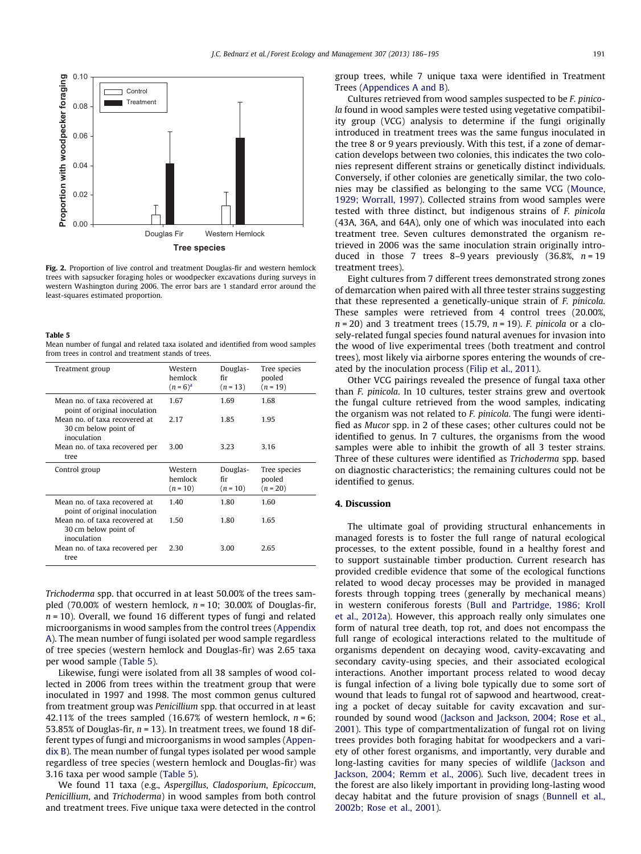<span id="page-5-0"></span>

Fig. 2. Proportion of live control and treatment Douglas-fir and western hemlock trees with sapsucker foraging holes or woodpecker excavations during surveys in western Washington during 2006. The error bars are 1 standard error around the least-squares estimated proportion.

### Table 5

Mean number of fungal and related taxa isolated and identified from wood samples from trees in control and treatment stands of trees.

| Treatment group                                                      | Western<br>hemlock<br>$(n = 6)^{a}$ | Douglas-<br>fir<br>$(n = 13)$ | Tree species<br>pooled<br>$(n = 19)$ |
|----------------------------------------------------------------------|-------------------------------------|-------------------------------|--------------------------------------|
| Mean no. of taxa recovered at<br>point of original inoculation       | 1.67                                | 1.69                          | 1.68                                 |
| Mean no. of taxa recovered at<br>30 cm below point of<br>inoculation | 2.17                                | 1.85                          | 1.95                                 |
| Mean no, of taxa recovered per<br>tree                               | 3.00                                | 3.23                          | 3.16                                 |
| Control group                                                        | Western<br>hemlock<br>$(n = 10)$    | Douglas-<br>fіr<br>$(n = 10)$ | Tree species<br>pooled<br>$(n = 20)$ |
| Mean no. of taxa recovered at<br>point of original inoculation       | 140                                 | 1.80                          | 1.60                                 |
| Mean no. of taxa recovered at<br>30 cm below point of<br>inoculation | 1.50                                | 1.80                          | 1.65                                 |
|                                                                      |                                     |                               |                                      |

Trichoderma spp. that occurred in at least 50.00% of the trees sampled (70.00% of western hemlock,  $n = 10$ ; 30.00% of Douglas-fir,  $n = 10$ ). Overall, we found 16 different types of fungi and related microorganisms in wood samples from the control trees [\(Appendix](#page-9-0) [A\)](#page-9-0). The mean number of fungi isolated per wood sample regardless of tree species (western hemlock and Douglas-fir) was 2.65 taxa per wood sample (Table 5).

Likewise, fungi were isolated from all 38 samples of wood collected in 2006 from trees within the treatment group that were inoculated in 1997 and 1998. The most common genus cultured from treatment group was Penicillium spp. that occurred in at least 42.11% of the trees sampled (16.67% of western hemlock,  $n = 6$ ; 53.85% of Douglas-fir,  $n = 13$ ). In treatment trees, we found 18 different types of fungi and microorganisms in wood samples [\(Appen](#page-9-0)[dix B](#page-9-0)). The mean number of fungal types isolated per wood sample regardless of tree species (western hemlock and Douglas-fir) was 3.16 taxa per wood sample (Table 5).

We found 11 taxa (e.g., Aspergillus, Cladosporium, Epicoccum, Penicillium, and Trichoderma) in wood samples from both control and treatment trees. Five unique taxa were detected in the control group trees, while 7 unique taxa were identified in Treatment Trees [\(Appendices A and B](#page-9-0)).

Cultures retrieved from wood samples suspected to be F. pinicola found in wood samples were tested using vegetative compatibility group (VCG) analysis to determine if the fungi originally introduced in treatment trees was the same fungus inoculated in the tree 8 or 9 years previously. With this test, if a zone of demarcation develops between two colonies, this indicates the two colonies represent different strains or genetically distinct individuals. Conversely, if other colonies are genetically similar, the two colonies may be classified as belonging to the same VCG [\(Mounce,](#page-9-0) [1929; Worrall, 1997\)](#page-9-0). Collected strains from wood samples were tested with three distinct, but indigenous strains of F. pinicola (43A, 36A, and 64A), only one of which was inoculated into each treatment tree. Seven cultures demonstrated the organism retrieved in 2006 was the same inoculation strain originally introduced in those 7 trees 8–9 years previously  $(36.8\%, n = 19)$ treatment trees).

Eight cultures from 7 different trees demonstrated strong zones of demarcation when paired with all three tester strains suggesting that these represented a genetically-unique strain of F. pinicola. These samples were retrieved from 4 control trees (20.00%,  $n = 20$ ) and 3 treatment trees (15.79,  $n = 19$ ). F. pinicola or a closely-related fungal species found natural avenues for invasion into the wood of live experimental trees (both treatment and control trees), most likely via airborne spores entering the wounds of created by the inoculation process ([Filip et al., 2011\)](#page-9-0).

Other VCG pairings revealed the presence of fungal taxa other than F. pinicola. In 10 cultures, tester strains grew and overtook the fungal culture retrieved from the wood samples, indicating the organism was not related to F. pinicola. The fungi were identified as Mucor spp. in 2 of these cases; other cultures could not be identified to genus. In 7 cultures, the organisms from the wood samples were able to inhibit the growth of all 3 tester strains. Three of these cultures were identified as Trichoderma spp. based on diagnostic characteristics; the remaining cultures could not be identified to genus.

## 4. Discussion

The ultimate goal of providing structural enhancements in managed forests is to foster the full range of natural ecological processes, to the extent possible, found in a healthy forest and to support sustainable timber production. Current research has provided credible evidence that some of the ecological functions related to wood decay processes may be provided in managed forests through topping trees (generally by mechanical means) in western coniferous forests [\(Bull and Partridge, 1986; Kroll](#page-9-0) [et al., 2012a\)](#page-9-0). However, this approach really only simulates one form of natural tree death, top rot, and does not encompass the full range of ecological interactions related to the multitude of organisms dependent on decaying wood, cavity-excavating and secondary cavity-using species, and their associated ecological interactions. Another important process related to wood decay is fungal infection of a living bole typically due to some sort of wound that leads to fungal rot of sapwood and heartwood, creating a pocket of decay suitable for cavity excavation and surrounded by sound wood ([Jackson and Jackson, 2004; Rose et al.,](#page-9-0) [2001](#page-9-0)). This type of compartmentalization of fungal rot on living trees provides both foraging habitat for woodpeckers and a variety of other forest organisms, and importantly, very durable and long-lasting cavities for many species of wildlife [\(Jackson and](#page-9-0) [Jackson, 2004; Remm et al., 2006](#page-9-0)). Such live, decadent trees in the forest are also likely important in providing long-lasting wood decay habitat and the future provision of snags ([Bunnell et al.,](#page-9-0) [2002b; Rose et al., 2001](#page-9-0)).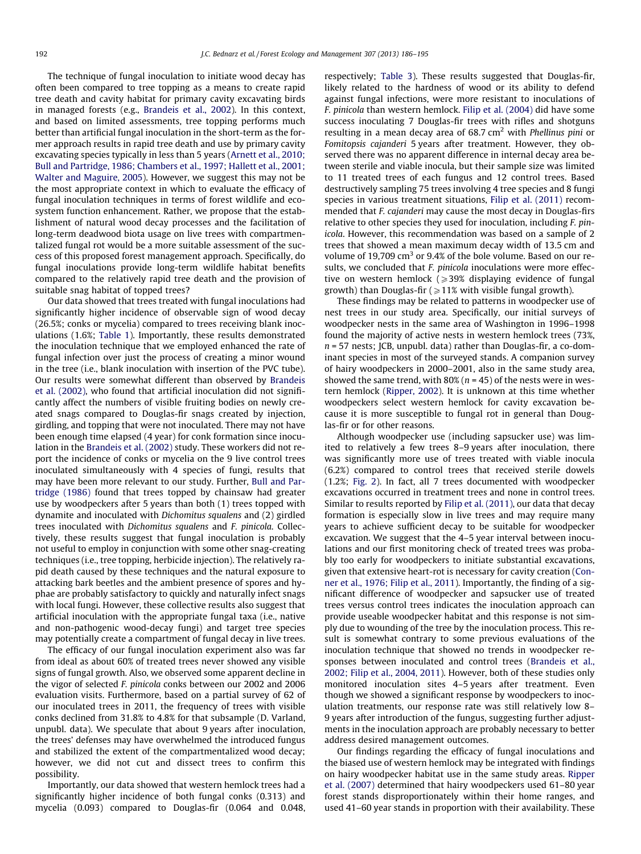The technique of fungal inoculation to initiate wood decay has often been compared to tree topping as a means to create rapid tree death and cavity habitat for primary cavity excavating birds in managed forests (e.g., [Brandeis et al., 2002\)](#page-9-0). In this context, and based on limited assessments, tree topping performs much better than artificial fungal inoculation in the short-term as the former approach results in rapid tree death and use by primary cavity excavating species typically in less than 5 years [\(Arnett et al., 2010;](#page-9-0) [Bull and Partridge, 1986; Chambers et al., 1997; Hallett et al., 2001;](#page-9-0) [Walter and Maguire, 2005\)](#page-9-0). However, we suggest this may not be the most appropriate context in which to evaluate the efficacy of fungal inoculation techniques in terms of forest wildlife and ecosystem function enhancement. Rather, we propose that the establishment of natural wood decay processes and the facilitation of long-term deadwood biota usage on live trees with compartmentalized fungal rot would be a more suitable assessment of the success of this proposed forest management approach. Specifically, do fungal inoculations provide long-term wildlife habitat benefits compared to the relatively rapid tree death and the provision of suitable snag habitat of topped trees?

Our data showed that trees treated with fungal inoculations had significantly higher incidence of observable sign of wood decay (26.5%; conks or mycelia) compared to trees receiving blank inoculations (1.6%; [Table 1\)](#page-3-0). Importantly, these results demonstrated the inoculation technique that we employed enhanced the rate of fungal infection over just the process of creating a minor wound in the tree (i.e., blank inoculation with insertion of the PVC tube). Our results were somewhat different than observed by [Brandeis](#page-9-0) [et al. \(2002\)](#page-9-0), who found that artificial inoculation did not significantly affect the numbers of visible fruiting bodies on newly created snags compared to Douglas-fir snags created by injection, girdling, and topping that were not inoculated. There may not have been enough time elapsed (4 year) for conk formation since inoculation in the [Brandeis et al. \(2002\)](#page-9-0) study. These workers did not report the incidence of conks or mycelia on the 9 live control trees inoculated simultaneously with 4 species of fungi, results that may have been more relevant to our study. Further, [Bull and Par](#page-9-0)[tridge \(1986\)](#page-9-0) found that trees topped by chainsaw had greater use by woodpeckers after 5 years than both (1) trees topped with dynamite and inoculated with Dichomitus squalens and (2) girdled trees inoculated with Dichomitus squalens and F. pinicola. Collectively, these results suggest that fungal inoculation is probably not useful to employ in conjunction with some other snag-creating techniques (i.e., tree topping, herbicide injection). The relatively rapid death caused by these techniques and the natural exposure to attacking bark beetles and the ambient presence of spores and hyphae are probably satisfactory to quickly and naturally infect snags with local fungi. However, these collective results also suggest that artificial inoculation with the appropriate fungal taxa (i.e., native and non-pathogenic wood-decay fungi) and target tree species may potentially create a compartment of fungal decay in live trees.

The efficacy of our fungal inoculation experiment also was far from ideal as about 60% of treated trees never showed any visible signs of fungal growth. Also, we observed some apparent decline in the vigor of selected F. pinicola conks between our 2002 and 2006 evaluation visits. Furthermore, based on a partial survey of 62 of our inoculated trees in 2011, the frequency of trees with visible conks declined from 31.8% to 4.8% for that subsample (D. Varland, unpubl. data). We speculate that about 9 years after inoculation, the trees' defenses may have overwhelmed the introduced fungus and stabilized the extent of the compartmentalized wood decay; however, we did not cut and dissect trees to confirm this possibility.

Importantly, our data showed that western hemlock trees had a significantly higher incidence of both fungal conks (0.313) and mycelia (0.093) compared to Douglas-fir (0.064 and 0.048, respectively; [Table 3](#page-4-0)). These results suggested that Douglas-fir, likely related to the hardness of wood or its ability to defend against fungal infections, were more resistant to inoculations of F. pinicola than western hemlock. [Filip et al. \(2004\)](#page-9-0) did have some success inoculating 7 Douglas-fir trees with rifles and shotguns resulting in a mean decay area of  $68.7 \text{ cm}^2$  with *Phellinus pini* or Fomitopsis cajanderi 5 years after treatment. However, they observed there was no apparent difference in internal decay area between sterile and viable inocula, but their sample size was limited to 11 treated trees of each fungus and 12 control trees. Based destructively sampling 75 trees involving 4 tree species and 8 fungi species in various treatment situations, [Filip et al. \(2011\)](#page-9-0) recommended that F. cajanderi may cause the most decay in Douglas-firs relative to other species they used for inoculation, including F. pinicola. However, this recommendation was based on a sample of 2 trees that showed a mean maximum decay width of 13.5 cm and volume of 19,709  $\text{cm}^3$  or 9.4% of the bole volume. Based on our results, we concluded that F. pinicola inoculations were more effective on western hemlock  $\geq$ 39% displaying evidence of fungal growth) than Douglas-fir ( $\geq 11\%$  with visible fungal growth).

These findings may be related to patterns in woodpecker use of nest trees in our study area. Specifically, our initial surveys of woodpecker nests in the same area of Washington in 1996–1998 found the majority of active nests in western hemlock trees (73%,  $n = 57$  nests; JCB, unpubl. data) rather than Douglas-fir, a co-dominant species in most of the surveyed stands. A companion survey of hairy woodpeckers in 2000–2001, also in the same study area, showed the same trend, with 80% ( $n = 45$ ) of the nests were in western hemlock ([Ripper, 2002\)](#page-9-0). It is unknown at this time whether woodpeckers select western hemlock for cavity excavation because it is more susceptible to fungal rot in general than Douglas-fir or for other reasons.

Although woodpecker use (including sapsucker use) was limited to relatively a few trees 8–9 years after inoculation, there was significantly more use of trees treated with viable inocula (6.2%) compared to control trees that received sterile dowels (1.2%; [Fig. 2\)](#page-5-0). In fact, all 7 trees documented with woodpecker excavations occurred in treatment trees and none in control trees. Similar to results reported by [Filip et al. \(2011\),](#page-9-0) our data that decay formation is especially slow in live trees and may require many years to achieve sufficient decay to be suitable for woodpecker excavation. We suggest that the 4–5 year interval between inoculations and our first monitoring check of treated trees was probably too early for woodpeckers to initiate substantial excavations, given that extensive heart-rot is necessary for cavity creation ([Con](#page-9-0)[ner et al., 1976; Filip et al., 2011\)](#page-9-0). Importantly, the finding of a significant difference of woodpecker and sapsucker use of treated trees versus control trees indicates the inoculation approach can provide useable woodpecker habitat and this response is not simply due to wounding of the tree by the inoculation process. This result is somewhat contrary to some previous evaluations of the inoculation technique that showed no trends in woodpecker responses between inoculated and control trees [\(Brandeis et al.,](#page-9-0) [2002; Filip et al., 2004, 2011](#page-9-0)). However, both of these studies only monitored inoculation sites 4–5 years after treatment. Even though we showed a significant response by woodpeckers to inoculation treatments, our response rate was still relatively low 8– 9 years after introduction of the fungus, suggesting further adjustments in the inoculation approach are probably necessary to better address desired management outcomes.

Our findings regarding the efficacy of fungal inoculations and the biased use of western hemlock may be integrated with findings on hairy woodpecker habitat use in the same study areas. [Ripper](#page-9-0) [et al. \(2007\)](#page-9-0) determined that hairy woodpeckers used 61–80 year forest stands disproportionately within their home ranges, and used 41–60 year stands in proportion with their availability. These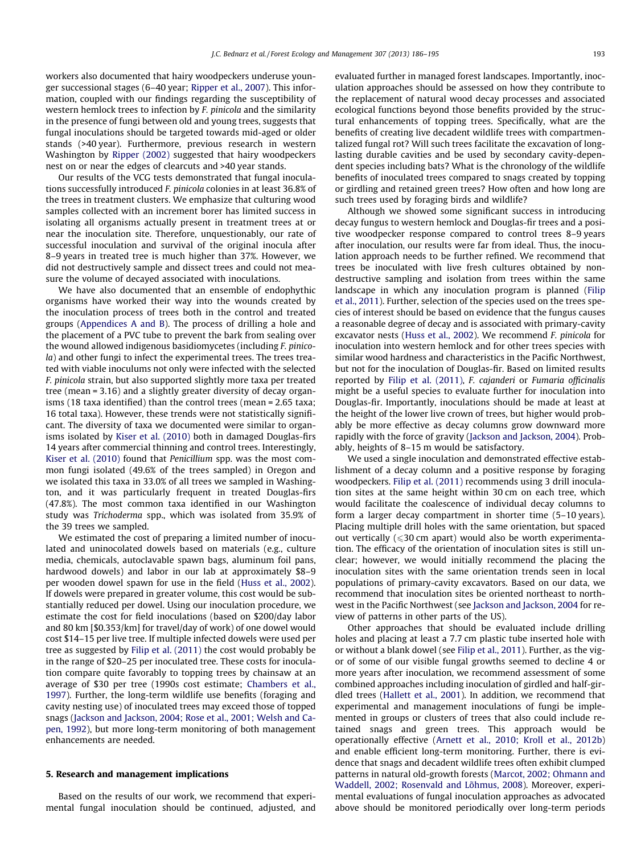workers also documented that hairy woodpeckers underuse younger successional stages (6–40 year; [Ripper et al., 2007\)](#page-9-0). This information, coupled with our findings regarding the susceptibility of western hemlock trees to infection by F. pinicola and the similarity in the presence of fungi between old and young trees, suggests that fungal inoculations should be targeted towards mid-aged or older stands (>40 year). Furthermore, previous research in western Washington by [Ripper \(2002\)](#page-9-0) suggested that hairy woodpeckers nest on or near the edges of clearcuts and >40 year stands.

Our results of the VCG tests demonstrated that fungal inoculations successfully introduced F. pinicola colonies in at least 36.8% of the trees in treatment clusters. We emphasize that culturing wood samples collected with an increment borer has limited success in isolating all organisms actually present in treatment trees at or near the inoculation site. Therefore, unquestionably, our rate of successful inoculation and survival of the original inocula after 8–9 years in treated tree is much higher than 37%. However, we did not destructively sample and dissect trees and could not measure the volume of decayed associated with inoculations.

We have also documented that an ensemble of endophythic organisms have worked their way into the wounds created by the inoculation process of trees both in the control and treated groups ([Appendices A and B](#page-9-0)). The process of drilling a hole and the placement of a PVC tube to prevent the bark from sealing over the wound allowed indigenous basidiomycetes (including F. pinicola) and other fungi to infect the experimental trees. The trees treated with viable inoculums not only were infected with the selected F. pinicola strain, but also supported slightly more taxa per treated tree (mean = 3.16) and a slightly greater diversity of decay organisms (18 taxa identified) than the control trees (mean = 2.65 taxa; 16 total taxa). However, these trends were not statistically significant. The diversity of taxa we documented were similar to organisms isolated by [Kiser et al. \(2010\)](#page-9-0) both in damaged Douglas-firs 14 years after commercial thinning and control trees. Interestingly, [Kiser et al. \(2010\)](#page-9-0) found that Penicillium spp. was the most common fungi isolated (49.6% of the trees sampled) in Oregon and we isolated this taxa in 33.0% of all trees we sampled in Washington, and it was particularly frequent in treated Douglas-firs (47.8%). The most common taxa identified in our Washington study was Trichoderma spp., which was isolated from 35.9% of the 39 trees we sampled.

We estimated the cost of preparing a limited number of inoculated and uninocolated dowels based on materials (e.g., culture media, chemicals, autoclavable spawn bags, aluminum foil pans, hardwood dowels) and labor in our lab at approximately \$8–9 per wooden dowel spawn for use in the field [\(Huss et al., 2002\)](#page-9-0). If dowels were prepared in greater volume, this cost would be substantially reduced per dowel. Using our inoculation procedure, we estimate the cost for field inoculations (based on \$200/day labor and 80 km [\$0.353/km] for travel/day of work) of one dowel would cost \$14–15 per live tree. If multiple infected dowels were used per tree as suggested by [Filip et al. \(2011\)](#page-9-0) the cost would probably be in the range of \$20–25 per inoculated tree. These costs for inoculation compare quite favorably to topping trees by chainsaw at an average of \$30 per tree (1990s cost estimate; [Chambers et al.,](#page-9-0) [1997\)](#page-9-0). Further, the long-term wildlife use benefits (foraging and cavity nesting use) of inoculated trees may exceed those of topped snags ([Jackson and Jackson, 2004; Rose et al., 2001; Welsh and Ca](#page-9-0)[pen, 1992\)](#page-9-0), but more long-term monitoring of both management enhancements are needed.

## 5. Research and management implications

Based on the results of our work, we recommend that experimental fungal inoculation should be continued, adjusted, and evaluated further in managed forest landscapes. Importantly, inoculation approaches should be assessed on how they contribute to the replacement of natural wood decay processes and associated ecological functions beyond those benefits provided by the structural enhancements of topping trees. Specifically, what are the benefits of creating live decadent wildlife trees with compartmentalized fungal rot? Will such trees facilitate the excavation of longlasting durable cavities and be used by secondary cavity-dependent species including bats? What is the chronology of the wildlife benefits of inoculated trees compared to snags created by topping or girdling and retained green trees? How often and how long are such trees used by foraging birds and wildlife?

Although we showed some significant success in introducing decay fungus to western hemlock and Douglas-fir trees and a positive woodpecker response compared to control trees 8–9 years after inoculation, our results were far from ideal. Thus, the inoculation approach needs to be further refined. We recommend that trees be inoculated with live fresh cultures obtained by nondestructive sampling and isolation from trees within the same landscape in which any inoculation program is planned [\(Filip](#page-9-0) [et al., 2011\)](#page-9-0). Further, selection of the species used on the trees species of interest should be based on evidence that the fungus causes a reasonable degree of decay and is associated with primary-cavity excavator nests [\(Huss et al., 2002](#page-9-0)). We recommend F. pinicola for inoculation into western hemlock and for other trees species with similar wood hardness and characteristics in the Pacific Northwest, but not for the inoculation of Douglas-fir. Based on limited results reported by [Filip et al. \(2011\)](#page-9-0), F. cajanderi or Fumaria officinalis might be a useful species to evaluate further for inoculation into Douglas-fir. Importantly, inoculations should be made at least at the height of the lower live crown of trees, but higher would probably be more effective as decay columns grow downward more rapidly with the force of gravity ([Jackson and Jackson, 2004\)](#page-9-0). Probably, heights of 8–15 m would be satisfactory.

We used a single inoculation and demonstrated effective establishment of a decay column and a positive response by foraging woodpeckers. [Filip et al. \(2011\)](#page-9-0) recommends using 3 drill inoculation sites at the same height within 30 cm on each tree, which would facilitate the coalescence of individual decay columns to form a larger decay compartment in shorter time (5–10 years). Placing multiple drill holes with the same orientation, but spaced out vertically  $(\leq 30 \text{ cm}$  apart) would also be worth experimentation. The efficacy of the orientation of inoculation sites is still unclear; however, we would initially recommend the placing the inoculation sites with the same orientation trends seen in local populations of primary-cavity excavators. Based on our data, we recommend that inoculation sites be oriented northeast to northwest in the Pacific Northwest (see [Jackson and Jackson, 2004](#page-9-0) for review of patterns in other parts of the US).

Other approaches that should be evaluated include drilling holes and placing at least a 7.7 cm plastic tube inserted hole with or without a blank dowel (see [Filip et al., 2011\)](#page-9-0). Further, as the vigor of some of our visible fungal growths seemed to decline 4 or more years after inoculation, we recommend assessment of some combined approaches including inoculation of girdled and half-girdled trees [\(Hallett et al., 2001](#page-9-0)). In addition, we recommend that experimental and management inoculations of fungi be implemented in groups or clusters of trees that also could include retained snags and green trees. This approach would be operationally effective [\(Arnett et al., 2010; Kroll et al., 2012b\)](#page-9-0) and enable efficient long-term monitoring. Further, there is evidence that snags and decadent wildlife trees often exhibit clumped patterns in natural old-growth forests [\(Marcot, 2002; Ohmann and](#page-9-0) [Waddell, 2002; Rosenvald and Lõhmus, 2008\)](#page-9-0). Moreover, experimental evaluations of fungal inoculation approaches as advocated above should be monitored periodically over long-term periods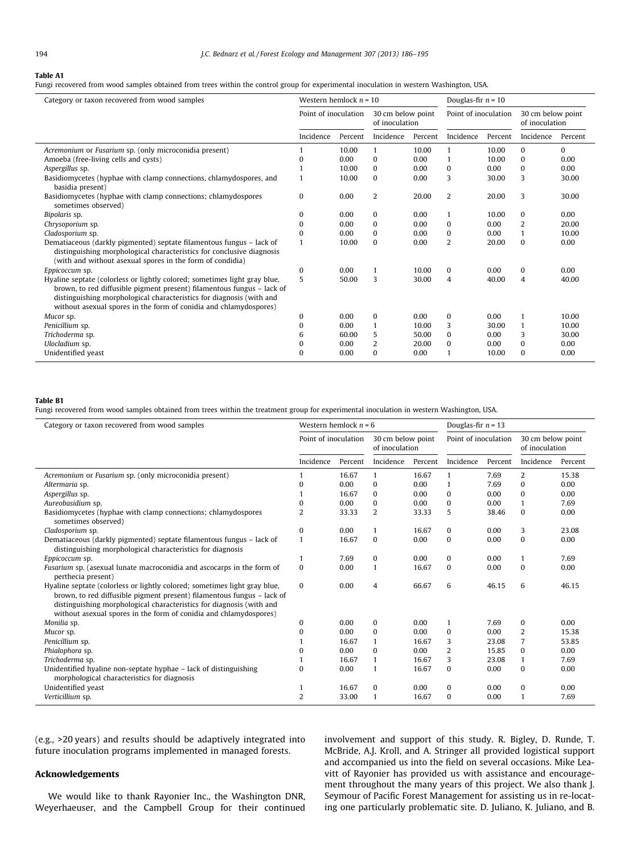#### <span id="page-8-0"></span>Table A1

Fungi recovered from wood samples obtained from trees within the control group for experimental inoculation in western Washington, USA.

| Category or taxon recovered from wood samples                                                                                                                                                                                                                                                    | Western hemlock $n = 10$<br>Point of inoculation<br>30 cm below point<br>of inoculation |         | Douglas-fir $n = 10$ |         |                      |         |                                     |          |
|--------------------------------------------------------------------------------------------------------------------------------------------------------------------------------------------------------------------------------------------------------------------------------------------------|-----------------------------------------------------------------------------------------|---------|----------------------|---------|----------------------|---------|-------------------------------------|----------|
|                                                                                                                                                                                                                                                                                                  |                                                                                         |         |                      |         | Point of inoculation |         | 30 cm below point<br>of inoculation |          |
|                                                                                                                                                                                                                                                                                                  | Incidence                                                                               | Percent | Incidence            | Percent | Incidence            | Percent | Incidence                           | Percent  |
| Acremonium or Fusarium sp. (only microconidia present)                                                                                                                                                                                                                                           |                                                                                         | 10.00   | 1                    | 10.00   | $\mathbf{1}$         | 10.00   | $\Omega$                            | $\Omega$ |
| Amoeba (free-living cells and cysts)                                                                                                                                                                                                                                                             | o                                                                                       | 0.00    | $\Omega$             | 0.00    |                      | 10.00   | $\Omega$                            | 0.00     |
| Aspergillus sp.                                                                                                                                                                                                                                                                                  |                                                                                         | 10.00   | $\Omega$             | 0.00    | $\Omega$             | 0.00    | $\Omega$                            | 0.00     |
| Basidiomycetes (hyphae with clamp connections, chlamydospores, and<br>basidia present)                                                                                                                                                                                                           |                                                                                         | 10.00   | $\bf{0}$             | 0.00    | 3                    | 30.00   | 3                                   | 30.00    |
| Basidiomycetes (hyphae with clamp connections; chlamydospores<br>sometimes observed)                                                                                                                                                                                                             | $\mathbf{0}$                                                                            | 0.00    | $\overline{2}$       | 20.00   | 2                    | 20.00   | 3                                   | 30.00    |
| Bipolaris sp.                                                                                                                                                                                                                                                                                    | $\Omega$                                                                                | 0.00    | 0                    | 0.00    | 1                    | 10.00   | $\mathbf{0}$                        | 0.00     |
| Chrysoporium sp.                                                                                                                                                                                                                                                                                 | $\Omega$                                                                                | 0.00    | $\Omega$             | 0.00    | $\bf{0}$             | 0.00    | $\overline{2}$                      | 20.00    |
| Cladosporium sp.                                                                                                                                                                                                                                                                                 | $\Omega$                                                                                | 0.00    | $\Omega$             | 0.00    | $\Omega$             | 0.00    | $\mathbf{1}$                        | 10.00    |
| Dematiaceous (darkly pigmented) septate filamentous fungus - lack of<br>distinguishing morphological characteristics for conclusive diagnosis<br>(with and without asexual spores in the form of condidia)                                                                                       |                                                                                         | 10.00   | $\bf{0}$             | 0.00    | $\overline{2}$       | 20.00   | $\Omega$                            | 0.00     |
| Eppicoccum sp.                                                                                                                                                                                                                                                                                   | $\Omega$                                                                                | 0.00    |                      | 10.00   | $\bf{0}$             | 0.00    | $\mathbf{0}$                        | 0.00     |
| Hyaline septate (colorless or lightly colored; sometimes light gray blue,<br>brown, to red diffusible pigment present) filamentous fungus – lack of<br>distinguishing morphological characteristics for diagnosis (with and<br>without asexual spores in the form of conidia and chlamydospores) | 5                                                                                       | 50.00   | 3                    | 30.00   | $\overline{4}$       | 40.00   | $\overline{4}$                      | 40.00    |
| Mucor sp.                                                                                                                                                                                                                                                                                        | $\Omega$                                                                                | 0.00    | $\Omega$             | 0.00    | $\bf{0}$             | 0.00    | $\mathbf{1}$                        | 10.00    |
| Penicillium sp.                                                                                                                                                                                                                                                                                  | 0                                                                                       | 0.00    | 1                    | 10.00   | 3                    | 30.00   | $\mathbf{1}$                        | 10.00    |
| Trichoderma sp.                                                                                                                                                                                                                                                                                  | 6                                                                                       | 60.00   | 5                    | 50.00   | $\Omega$             | 0.00    | 3                                   | 30.00    |
| Ulocladium sp.                                                                                                                                                                                                                                                                                   | 0                                                                                       | 0.00    | 2                    | 20.00   | $\bf{0}$             | 0.00    | $\Omega$                            | 0.00     |
| Unidentified yeast                                                                                                                                                                                                                                                                               | $\Omega$                                                                                | 0.00    | $\Omega$             | 0.00    |                      | 10.00   | $\Omega$                            | 0.00     |

## Table B1

Fungi recovered from wood samples obtained from trees within the treatment group for experimental inoculation in western Washington, USA.

| Category or taxon recovered from wood samples                                                                                                                                                                                                                                                    | Western hemlock $n = 6$<br>Point of inoculation<br>30 cm below point<br>of inoculation |         | Douglas-fir $n = 13$ |         |                      |         |                                     |         |
|--------------------------------------------------------------------------------------------------------------------------------------------------------------------------------------------------------------------------------------------------------------------------------------------------|----------------------------------------------------------------------------------------|---------|----------------------|---------|----------------------|---------|-------------------------------------|---------|
|                                                                                                                                                                                                                                                                                                  |                                                                                        |         |                      |         | Point of inoculation |         | 30 cm below point<br>of inoculation |         |
|                                                                                                                                                                                                                                                                                                  | Incidence                                                                              | Percent | Incidence            | Percent | Incidence            | Percent | Incidence                           | Percent |
| Acremonium or Fusarium sp. (only microconidia present)                                                                                                                                                                                                                                           |                                                                                        | 16.67   | $\mathbf{1}$         | 16.67   | 1                    | 7.69    | $\overline{2}$                      | 15.38   |
| Altermaria sp.                                                                                                                                                                                                                                                                                   | $\Omega$                                                                               | 0.00    | $\Omega$             | 0.00    | 1                    | 7.69    | $\Omega$                            | 0.00    |
| Aspergillus sp.                                                                                                                                                                                                                                                                                  |                                                                                        | 16.67   | $\bf{0}$             | 0.00    | 0                    | 0.00    | 0                                   | 0.00    |
| Aureobasidium sp.                                                                                                                                                                                                                                                                                | O                                                                                      | 0.00    | $\Omega$             | 0.00    | $\Omega$             | 0.00    | 1                                   | 7.69    |
| Basidiomycetes (hyphae with clamp connections; chlamydospores<br>sometimes observed)                                                                                                                                                                                                             | $\mathcal{L}$                                                                          | 33.33   | $\overline{2}$       | 33.33   | 5                    | 38.46   | $\Omega$                            | 0.00    |
| Cladosporium sp.                                                                                                                                                                                                                                                                                 | $\Omega$                                                                               | 0.00    | 1                    | 16.67   | $\Omega$             | 0.00    | 3                                   | 23.08   |
| Dematiaceous (darkly pigmented) septate filamentous fungus - lack of<br>distinguishing morphological characteristics for diagnosis                                                                                                                                                               | 1                                                                                      | 16.67   | $\mathbf{0}$         | 0.00    | $\bf{0}$             | 0.00    | $\bf{0}$                            | 0.00    |
| Eppicoccum sp.                                                                                                                                                                                                                                                                                   | 1                                                                                      | 7.69    | $\Omega$             | 0.00    | $\Omega$             | 0.00    | 1                                   | 7.69    |
| Fusarium sp. (asexual lunate macroconidia and ascocarps in the form of<br>perthecia present)                                                                                                                                                                                                     | $\Omega$                                                                               | 0.00    | $\mathbf{1}$         | 16.67   | $\Omega$             | 0.00    | $\Omega$                            | 0.00    |
| Hyaline septate (colorless or lightly colored; sometimes light gray blue,<br>brown, to red diffusible pigment present) filamentous fungus - lack of<br>distinguishing morphological characteristics for diagnosis (with and<br>without asexual spores in the form of conidia and chlamydospores) | $\Omega$                                                                               | 0.00    | $\overline{4}$       | 66.67   | 6                    | 46.15   | 6                                   | 46.15   |
| Monilia sp.                                                                                                                                                                                                                                                                                      | $\Omega$                                                                               | 0.00    | $\Omega$             | 0.00    | 1                    | 7.69    | 0                                   | 0.00    |
| Mucor sp.                                                                                                                                                                                                                                                                                        | $\Omega$                                                                               | 0.00    | $\mathbf{0}$         | 0.00    | 0                    | 0.00    | $\overline{2}$                      | 15.38   |
| Penicillium sp.                                                                                                                                                                                                                                                                                  |                                                                                        | 16.67   | $\mathbf{1}$         | 16.67   | 3                    | 23.08   | 7                                   | 53.85   |
| Phialophora sp.                                                                                                                                                                                                                                                                                  | 0                                                                                      | 0.00    | $\Omega$             | 0.00    | $\overline{2}$       | 15.85   | $\Omega$                            | 0.00    |
| Trichoderma sp.                                                                                                                                                                                                                                                                                  |                                                                                        | 16.67   | $\mathbf{1}$         | 16.67   | 3                    | 23.08   | 1                                   | 7.69    |
| Unidentified hyaline non-septate hyphae – lack of distinguishing<br>morphological characteristics for diagnosis                                                                                                                                                                                  | $\Omega$                                                                               | 0.00    | $\mathbf{1}$         | 16.67   | $\Omega$             | 0.00    | $\Omega$                            | 0.00    |
| Unidentified yeast                                                                                                                                                                                                                                                                               |                                                                                        | 16.67   | $\mathbf{0}$         | 0.00    | 0                    | 0.00    | 0                                   | 0.00    |
| Verticillium sp.                                                                                                                                                                                                                                                                                 | $\overline{2}$                                                                         | 33.00   |                      | 16.67   | $\Omega$             | 0.00    | 1                                   | 7.69    |

(e.g., >20 years) and results should be adaptively integrated into future inoculation programs implemented in managed forests.

## Acknowledgements

We would like to thank Rayonier Inc., the Washington DNR, Weyerhaeuser, and the Campbell Group for their continued involvement and support of this study. R. Bigley, D. Runde, T. McBride, A.J. Kroll, and A. Stringer all provided logistical support and accompanied us into the field on several occasions. Mike Leavitt of Rayonier has provided us with assistance and encouragement throughout the many years of this project. We also thank J. Seymour of Pacific Forest Management for assisting us in re-locating one particularly problematic site. D. Juliano, K. Juliano, and B.